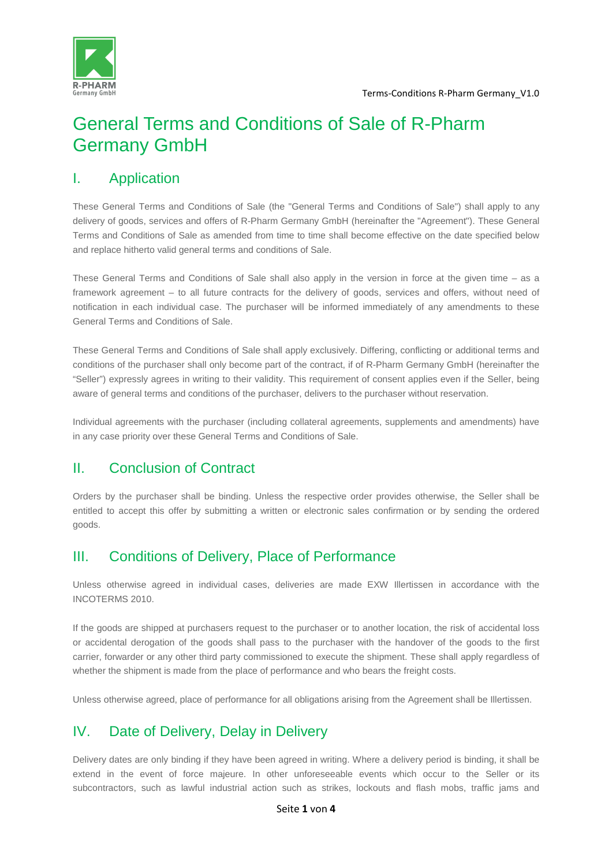

# General Terms and Conditions of Sale of R-Pharm Germany GmbH

#### I. Application

These General Terms and Conditions of Sale (the "General Terms and Conditions of Sale") shall apply to any delivery of goods, services and offers of R-Pharm Germany GmbH (hereinafter the "Agreement"). These General Terms and Conditions of Sale as amended from time to time shall become effective on the date specified below and replace hitherto valid general terms and conditions of Sale.

These General Terms and Conditions of Sale shall also apply in the version in force at the given time – as a framework agreement – to all future contracts for the delivery of goods, services and offers, without need of notification in each individual case. The purchaser will be informed immediately of any amendments to these General Terms and Conditions of Sale.

These General Terms and Conditions of Sale shall apply exclusively. Differing, conflicting or additional terms and conditions of the purchaser shall only become part of the contract, if of R-Pharm Germany GmbH (hereinafter the "Seller") expressly agrees in writing to their validity. This requirement of consent applies even if the Seller, being aware of general terms and conditions of the purchaser, delivers to the purchaser without reservation.

Individual agreements with the purchaser (including collateral agreements, supplements and amendments) have in any case priority over these General Terms and Conditions of Sale.

### II. Conclusion of Contract

Orders by the purchaser shall be binding. Unless the respective order provides otherwise, the Seller shall be entitled to accept this offer by submitting a written or electronic sales confirmation or by sending the ordered goods.

### III. Conditions of Delivery, Place of Performance

Unless otherwise agreed in individual cases, deliveries are made EXW Illertissen in accordance with the INCOTERMS 2010.

If the goods are shipped at purchasers request to the purchaser or to another location, the risk of accidental loss or accidental derogation of the goods shall pass to the purchaser with the handover of the goods to the first carrier, forwarder or any other third party commissioned to execute the shipment. These shall apply regardless of whether the shipment is made from the place of performance and who bears the freight costs.

Unless otherwise agreed, place of performance for all obligations arising from the Agreement shall be Illertissen.

### IV. Date of Delivery, Delay in Delivery

Delivery dates are only binding if they have been agreed in writing. Where a delivery period is binding, it shall be extend in the event of force majeure. In other unforeseeable events which occur to the Seller or its subcontractors, such as lawful industrial action such as strikes, lockouts and flash mobs, traffic jams and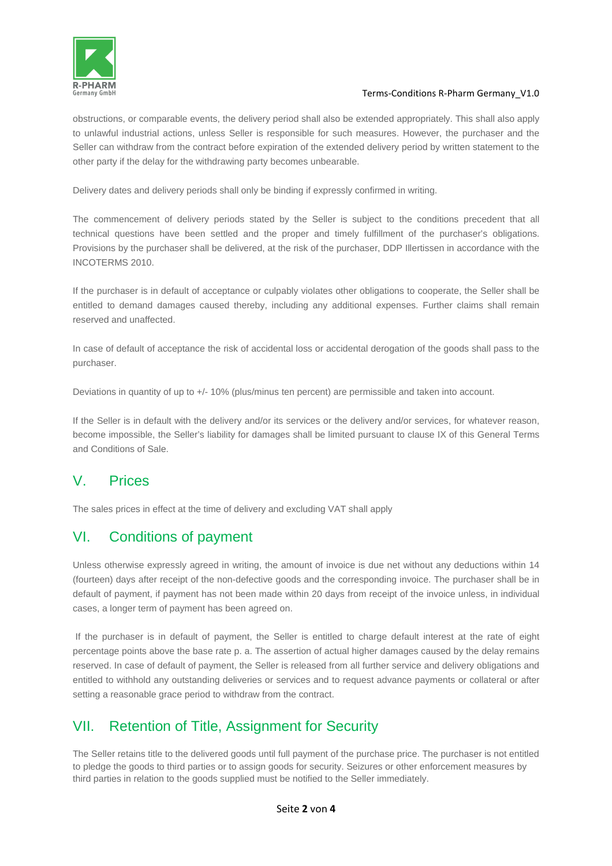

#### Terms-Conditions R-Pharm Germany\_V1.0

obstructions, or comparable events, the delivery period shall also be extended appropriately. This shall also apply to unlawful industrial actions, unless Seller is responsible for such measures. However, the purchaser and the Seller can withdraw from the contract before expiration of the extended delivery period by written statement to the other party if the delay for the withdrawing party becomes unbearable.

Delivery dates and delivery periods shall only be binding if expressly confirmed in writing.

The commencement of delivery periods stated by the Seller is subject to the conditions precedent that all technical questions have been settled and the proper and timely fulfillment of the purchaser's obligations. Provisions by the purchaser shall be delivered, at the risk of the purchaser, DDP Illertissen in accordance with the INCOTERMS 2010.

If the purchaser is in default of acceptance or culpably violates other obligations to cooperate, the Seller shall be entitled to demand damages caused thereby, including any additional expenses. Further claims shall remain reserved and unaffected.

In case of default of acceptance the risk of accidental loss or accidental derogation of the goods shall pass to the purchaser.

Deviations in quantity of up to +/- 10% (plus/minus ten percent) are permissible and taken into account.

If the Seller is in default with the delivery and/or its services or the delivery and/or services, for whatever reason, become impossible, the Seller's liability for damages shall be limited pursuant to clause IX of this General Terms and Conditions of Sale.

#### V. Prices

The sales prices in effect at the time of delivery and excluding VAT shall apply

### VI. Conditions of payment

Unless otherwise expressly agreed in writing, the amount of invoice is due net without any deductions within 14 (fourteen) days after receipt of the non-defective goods and the corresponding invoice. The purchaser shall be in default of payment, if payment has not been made within 20 days from receipt of the invoice unless, in individual cases, a longer term of payment has been agreed on.

 If the purchaser is in default of payment, the Seller is entitled to charge default interest at the rate of eight percentage points above the base rate p. a. The assertion of actual higher damages caused by the delay remains reserved. In case of default of payment, the Seller is released from all further service and delivery obligations and entitled to withhold any outstanding deliveries or services and to request advance payments or collateral or after setting a reasonable grace period to withdraw from the contract.

#### VII. Retention of Title, Assignment for Security

The Seller retains title to the delivered goods until full payment of the purchase price. The purchaser is not entitled to pledge the goods to third parties or to assign goods for security. Seizures or other enforcement measures by third parties in relation to the goods supplied must be notified to the Seller immediately.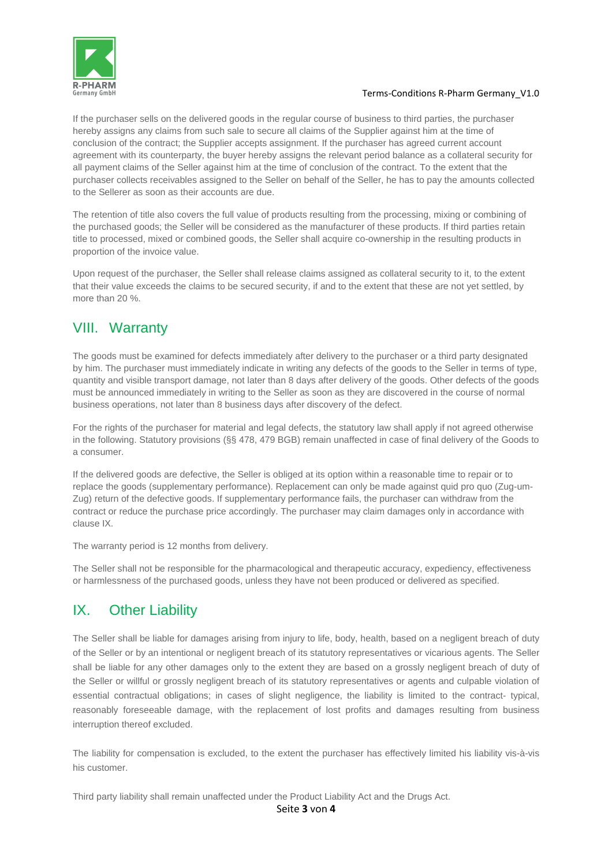

#### Terms-Conditions R-Pharm Germany\_V1.0

If the purchaser sells on the delivered goods in the regular course of business to third parties, the purchaser hereby assigns any claims from such sale to secure all claims of the Supplier against him at the time of conclusion of the contract; the Supplier accepts assignment. If the purchaser has agreed current account agreement with its counterparty, the buyer hereby assigns the relevant period balance as a collateral security for all payment claims of the Seller against him at the time of conclusion of the contract. To the extent that the purchaser collects receivables assigned to the Seller on behalf of the Seller, he has to pay the amounts collected to the Sellerer as soon as their accounts are due.

The retention of title also covers the full value of products resulting from the processing, mixing or combining of the purchased goods; the Seller will be considered as the manufacturer of these products. If third parties retain title to processed, mixed or combined goods, the Seller shall acquire co-ownership in the resulting products in proportion of the invoice value.

Upon request of the purchaser, the Seller shall release claims assigned as collateral security to it, to the extent that their value exceeds the claims to be secured security, if and to the extent that these are not yet settled, by more than 20 %.

### VIII. Warranty

The goods must be examined for defects immediately after delivery to the purchaser or a third party designated by him. The purchaser must immediately indicate in writing any defects of the goods to the Seller in terms of type, quantity and visible transport damage, not later than 8 days after delivery of the goods. Other defects of the goods must be announced immediately in writing to the Seller as soon as they are discovered in the course of normal business operations, not later than 8 business days after discovery of the defect.

For the rights of the purchaser for material and legal defects, the statutory law shall apply if not agreed otherwise in the following. Statutory provisions (§§ 478, 479 BGB) remain unaffected in case of final delivery of the Goods to a consumer.

If the delivered goods are defective, the Seller is obliged at its option within a reasonable time to repair or to replace the goods (supplementary performance). Replacement can only be made against quid pro quo (Zug-um-Zug) return of the defective goods. If supplementary performance fails, the purchaser can withdraw from the contract or reduce the purchase price accordingly. The purchaser may claim damages only in accordance with clause IX.

The warranty period is 12 months from delivery.

The Seller shall not be responsible for the pharmacological and therapeutic accuracy, expediency, effectiveness or harmlessness of the purchased goods, unless they have not been produced or delivered as specified.

## IX. Other Liability

The Seller shall be liable for damages arising from injury to life, body, health, based on a negligent breach of duty of the Seller or by an intentional or negligent breach of its statutory representatives or vicarious agents. The Seller shall be liable for any other damages only to the extent they are based on a grossly negligent breach of duty of the Seller or willful or grossly negligent breach of its statutory representatives or agents and culpable violation of essential contractual obligations; in cases of slight negligence, the liability is limited to the contract- typical, reasonably foreseeable damage, with the replacement of lost profits and damages resulting from business interruption thereof excluded.

The liability for compensation is excluded, to the extent the purchaser has effectively limited his liability vis-à-vis his customer.

Third party liability shall remain unaffected under the Product Liability Act and the Drugs Act.